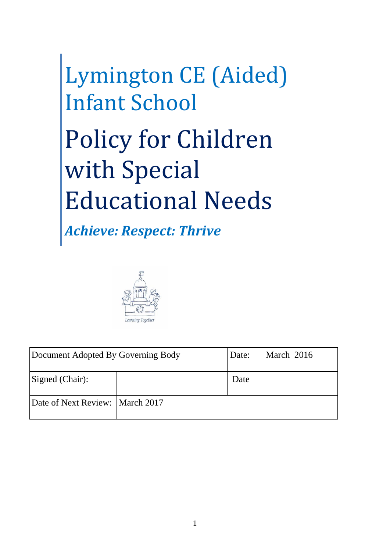# Lymington CE (Aided) Infant School Policy for Children with Special Educational Needs

*Achieve: Respect: Thrive*



| Document Adopted By Governing Body |  | Date: | March 2016 |
|------------------------------------|--|-------|------------|
| Signed (Chair):                    |  | Date  |            |
| Date of Next Review: March 2017    |  |       |            |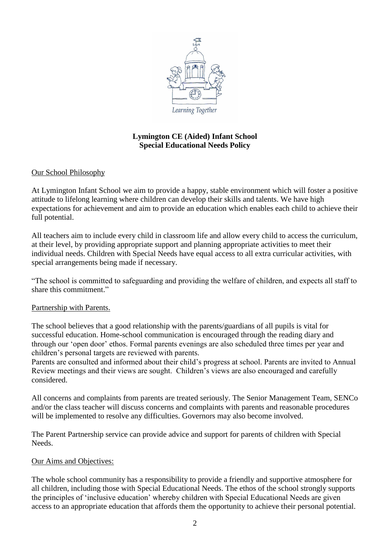

# **Lymington CE (Aided) Infant School Special Educational Needs Policy**

## Our School Philosophy

At Lymington Infant School we aim to provide a happy, stable environment which will foster a positive attitude to lifelong learning where children can develop their skills and talents. We have high expectations for achievement and aim to provide an education which enables each child to achieve their full potential.

All teachers aim to include every child in classroom life and allow every child to access the curriculum, at their level, by providing appropriate support and planning appropriate activities to meet their individual needs. Children with Special Needs have equal access to all extra curricular activities, with special arrangements being made if necessary.

"The school is committed to safeguarding and providing the welfare of children, and expects all staff to share this commitment."

## Partnership with Parents.

The school believes that a good relationship with the parents/guardians of all pupils is vital for successful education. Home-school communication is encouraged through the reading diary and through our 'open door' ethos. Formal parents evenings are also scheduled three times per year and children's personal targets are reviewed with parents.

Parents are consulted and informed about their child's progress at school. Parents are invited to Annual Review meetings and their views are sought. Children's views are also encouraged and carefully considered.

All concerns and complaints from parents are treated seriously. The Senior Management Team, SENCo and/or the class teacher will discuss concerns and complaints with parents and reasonable procedures will be implemented to resolve any difficulties. Governors may also become involved.

The Parent Partnership service can provide advice and support for parents of children with Special Needs.

## Our Aims and Objectives:

The whole school community has a responsibility to provide a friendly and supportive atmosphere for all children, including those with Special Educational Needs. The ethos of the school strongly supports the principles of 'inclusive education' whereby children with Special Educational Needs are given access to an appropriate education that affords them the opportunity to achieve their personal potential.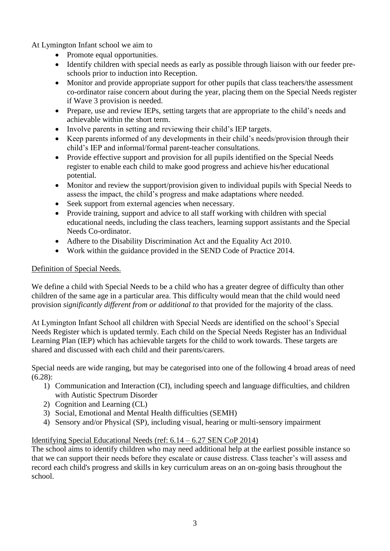At Lymington Infant school we aim to

- Promote equal opportunities.
- Identify children with special needs as early as possible through liaison with our feeder preschools prior to induction into Reception.
- Monitor and provide appropriate support for other pupils that class teachers/the assessment co-ordinator raise concern about during the year, placing them on the Special Needs register if Wave 3 provision is needed.
- Prepare, use and review IEPs, setting targets that are appropriate to the child's needs and achievable within the short term.
- Involve parents in setting and reviewing their child's IEP targets.
- Keep parents informed of any developments in their child's needs/provision through their child's IEP and informal/formal parent-teacher consultations.
- Provide effective support and provision for all pupils identified on the Special Needs register to enable each child to make good progress and achieve his/her educational potential.
- Monitor and review the support/provision given to individual pupils with Special Needs to assess the impact, the child's progress and make adaptations where needed.
- Seek support from external agencies when necessary.
- Provide training, support and advice to all staff working with children with special educational needs, including the class teachers, learning support assistants and the Special Needs Co-ordinator.
- Adhere to the Disability Discrimination Act and the Equality Act 2010.
- Work within the guidance provided in the SEND Code of Practice 2014.

## Definition of Special Needs.

We define a child with Special Needs to be a child who has a greater degree of difficulty than other children of the same age in a particular area. This difficulty would mean that the child would need provision *significantly different from or additional to* that provided for the majority of the class.

At Lymington Infant School all children with Special Needs are identified on the school's Special Needs Register which is updated termly. Each child on the Special Needs Register has an Individual Learning Plan (IEP) which has achievable targets for the child to work towards. These targets are shared and discussed with each child and their parents/carers.

Special needs are wide ranging, but may be categorised into one of the following 4 broad areas of need (6.28):

- 1) Communication and Interaction (CI), including speech and language difficulties, and children with Autistic Spectrum Disorder
- 2) Cognition and Learning (CL)
- 3) Social, Emotional and Mental Health difficulties (SEMH)
- 4) Sensory and/or Physical (SP), including visual, hearing or multi-sensory impairment

## Identifying Special Educational Needs (ref: 6.14 – 6.27 SEN CoP 2014)

The school aims to identify children who may need additional help at the earliest possible instance so that we can support their needs before they escalate or cause distress. Class teacher's will assess and record each child's progress and skills in key curriculum areas on an on-going basis throughout the school.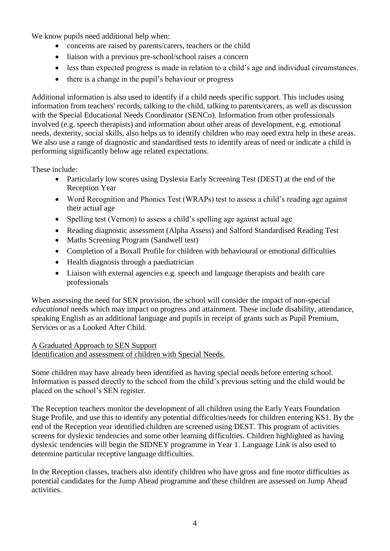We know pupils need additional help when:

- concerns are raised by parents/carers, teachers or the child
- liaison with a previous pre-school/school raises a concern
- less than expected progress is made in relation to a child's age and individual circumstances.
- there is a change in the pupil's behaviour or progress

Additional information is also used to identify if a child needs specific support. This includes using information from teachers' records, talking to the child, talking to parents/carers, as well as discussion with the Special Educational Needs Coordinator (SENCo). Information from other professionals involved (e.g. speech therapists) and information about other areas of development, e.g. emotional needs, dexterity, social skills, also helps us to identify children who may need extra help in these areas. We also use a range of diagnostic and standardised tests to identify areas of need or indicate a child is performing significantly below age related expectations.

These include:

- Particularly low scores using Dyslexia Early Screening Test (DEST) at the end of the Reception Year
- Word Recognition and Phonics Test (WRAPs) test to assess a child's reading age against their actual age
- Spelling test (Vernon) to assess a child's spelling age against actual age
- Reading diagnostic assessment (Alpha Assess) and Salford Standardised Reading Test
- Maths Screening Program (Sandwell test)
- Completion of a Boxall Profile for children with behavioural or emotional difficulties
- Health diagnosis through a paediatrician
- Liaison with external agencies e.g. speech and language therapists and health care professionals

When assessing the need for SEN provision, the school will consider the impact of non-special *educational* needs which may impact on progress and attainment. These include disability, attendance, speaking English as an additional language and pupils in receipt of grants such as Pupil Premium, Services or as a Looked After Child.

A Graduated Approach to SEN Support

Identification and assessment of children with Special Needs.

Some children may have already been identified as having special needs before entering school. Information is passed directly to the school from the child's previous setting and the child would be placed on the school's SEN register.

The Reception teachers monitor the development of all children using the Early Years Foundation Stage Profile, and use this to identify any potential difficulties/needs for children entering KS1. By the end of the Reception year identified children are screened using DEST. This program of activities screens for dyslexic tendencies and some other learning difficulties. Children highlighted as having dyslexic tendencies will begin the SIDNEY programme in Year 1. Language Link is also used to determine particular receptive language difficulties.

In the Reception classes, teachers also identify children who have gross and fine motor difficulties as potential candidates for the Jump Ahead programme and these children are assessed on Jump Ahead activities.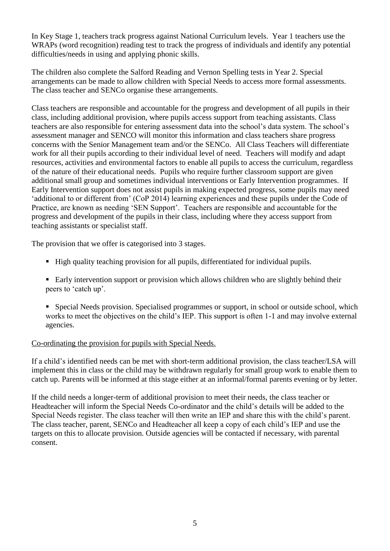In Key Stage 1, teachers track progress against National Curriculum levels. Year 1 teachers use the WRAPs (word recognition) reading test to track the progress of individuals and identify any potential difficulties/needs in using and applying phonic skills.

The children also complete the Salford Reading and Vernon Spelling tests in Year 2. Special arrangements can be made to allow children with Special Needs to access more formal assessments. The class teacher and SENCo organise these arrangements.

Class teachers are responsible and accountable for the progress and development of all pupils in their class, including additional provision, where pupils access support from teaching assistants. Class teachers are also responsible for entering assessment data into the school's data system. The school's assessment manager and SENCO will monitor this information and class teachers share progress concerns with the Senior Management team and/or the SENCo. All Class Teachers will differentiate work for all their pupils according to their individual level of need. Teachers will modify and adapt resources, activities and environmental factors to enable all pupils to access the curriculum, regardless of the nature of their educational needs. Pupils who require further classroom support are given additional small group and sometimes individual interventions or Early Intervention programmes. If Early Intervention support does not assist pupils in making expected progress, some pupils may need 'additional to or different from' (CoP 2014) learning experiences and these pupils under the Code of Practice, are known as needing 'SEN Support'. Teachers are responsible and accountable for the progress and development of the pupils in their class, including where they access support from teaching assistants or specialist staff.

The provision that we offer is categorised into 3 stages.

- High quality teaching provision for all pupils, differentiated for individual pupils.
- **Early intervention support or provision which allows children who are slightly behind their** peers to 'catch up'.
- Special Needs provision. Specialised programmes or support, in school or outside school, which works to meet the objectives on the child's IEP. This support is often 1-1 and may involve external agencies.

## Co-ordinating the provision for pupils with Special Needs.

If a child's identified needs can be met with short-term additional provision, the class teacher/LSA will implement this in class or the child may be withdrawn regularly for small group work to enable them to catch up. Parents will be informed at this stage either at an informal/formal parents evening or by letter.

If the child needs a longer-term of additional provision to meet their needs, the class teacher or Headteacher will inform the Special Needs Co-ordinator and the child's details will be added to the Special Needs register. The class teacher will then write an IEP and share this with the child's parent. The class teacher, parent, SENCo and Headteacher all keep a copy of each child's IEP and use the targets on this to allocate provision. Outside agencies will be contacted if necessary, with parental consent.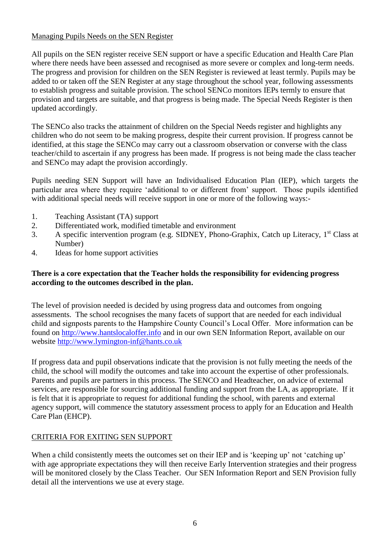# Managing Pupils Needs on the SEN Register

All pupils on the SEN register receive SEN support or have a specific Education and Health Care Plan where there needs have been assessed and recognised as more severe or complex and long-term needs. The progress and provision for children on the SEN Register is reviewed at least termly. Pupils may be added to or taken off the SEN Register at any stage throughout the school year, following assessments to establish progress and suitable provision. The school SENCo monitors IEPs termly to ensure that provision and targets are suitable, and that progress is being made. The Special Needs Register is then updated accordingly.

The SENCo also tracks the attainment of children on the Special Needs register and highlights any children who do not seem to be making progress, despite their current provision. If progress cannot be identified, at this stage the SENCo may carry out a classroom observation or converse with the class teacher/child to ascertain if any progress has been made. If progress is not being made the class teacher and SENCo may adapt the provision accordingly.

Pupils needing SEN Support will have an Individualised Education Plan (IEP), which targets the particular area where they require 'additional to or different from' support. Those pupils identified with additional special needs will receive support in one or more of the following ways:-

- 1. Teaching Assistant (TA) support
- 2. Differentiated work, modified timetable and environment
- 3. A specific intervention program (e.g. SIDNEY, Phono-Graphix, Catch up Literacy,  $1<sup>st</sup>$  Class at Number)
- 4. Ideas for home support activities

## **There is a core expectation that the Teacher holds the responsibility for evidencing progress according to the outcomes described in the plan.**

The level of provision needed is decided by using progress data and outcomes from ongoing assessments. The school recognises the many facets of support that are needed for each individual child and signposts parents to the Hampshire County Council's Local Offer. More information can be found on [http://www.hantslocaloffer.info](http://www.hantslocaloffer.info/) and in our own SEN Information Report, available on our website http://www.lymington-inf@hants.co.uk

If progress data and pupil observations indicate that the provision is not fully meeting the needs of the child, the school will modify the outcomes and take into account the expertise of other professionals. Parents and pupils are partners in this process. The SENCO and Headteacher, on advice of external services, are responsible for sourcing additional funding and support from the LA, as appropriate. If it is felt that it is appropriate to request for additional funding the school, with parents and external agency support, will commence the statutory assessment process to apply for an Education and Health Care Plan (EHCP).

# CRITERIA FOR EXITING SEN SUPPORT

When a child consistently meets the outcomes set on their IEP and is 'keeping up' not 'catching up' with age appropriate expectations they will then receive Early Intervention strategies and their progress will be monitored closely by the Class Teacher. Our SEN Information Report and SEN Provision fully detail all the interventions we use at every stage.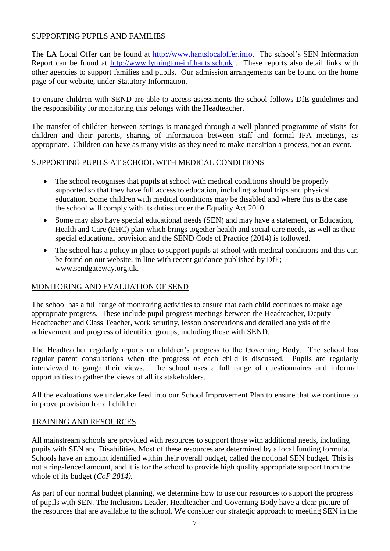## SUPPORTING PUPILS AND FAMILIES

The LA Local Offer can be found at [http://www.hantslocaloffer.info.](http://www.hantslocaloffer.info/) The school's SEN Information Report can be found at [http://www.lymington-inf.hants.sch.uk](http://www.lymington-inf.hants.sch.uk/) . These reports also detail links with other agencies to support families and pupils. Our admission arrangements can be found on the home page of our website, under Statutory Information.

To ensure children with SEND are able to access assessments the school follows DfE guidelines and the responsibility for monitoring this belongs with the Headteacher.

The transfer of children between settings is managed through a well-planned programme of visits for children and their parents, sharing of information between staff and formal IPA meetings, as appropriate. Children can have as many visits as they need to make transition a process, not an event.

#### SUPPORTING PUPILS AT SCHOOL WITH MEDICAL CONDITIONS

- The school recognises that pupils at school with medical conditions should be properly supported so that they have full access to education, including school trips and physical education. Some children with medical conditions may be disabled and where this is the case the school will comply with its duties under the Equality Act 2010.
- Some may also have special educational needs (SEN) and may have a statement, or Education, Health and Care (EHC) plan which brings together health and social care needs, as well as their special educational provision and the SEND Code of Practice (2014) is followed.
- The school has a policy in place to support pupils at school with medical conditions and this can be found on our website, in line with recent guidance published by DfE; www.sendgateway.org.uk.

## MONITORING AND EVALUATION OF SEND

The school has a full range of monitoring activities to ensure that each child continues to make age appropriate progress. These include pupil progress meetings between the Headteacher, Deputy Headteacher and Class Teacher, work scrutiny, lesson observations and detailed analysis of the achievement and progress of identified groups, including those with SEND.

The Headteacher regularly reports on children's progress to the Governing Body. The school has regular parent consultations when the progress of each child is discussed. Pupils are regularly interviewed to gauge their views. The school uses a full range of questionnaires and informal opportunities to gather the views of all its stakeholders.

All the evaluations we undertake feed into our School Improvement Plan to ensure that we continue to improve provision for all children.

## TRAINING AND RESOURCES

All mainstream schools are provided with resources to support those with additional needs, including pupils with SEN and Disabilities. Most of these resources are determined by a local funding formula. Schools have an amount identified within their overall budget, called the notional SEN budget. This is not a ring-fenced amount, and it is for the school to provide high quality appropriate support from the whole of its budget (*CoP 2014).*

As part of our normal budget planning, we determine how to use our resources to support the progress of pupils with SEN. The Inclusions Leader, Headteacher and Governing Body have a clear picture of the resources that are available to the school. We consider our strategic approach to meeting SEN in the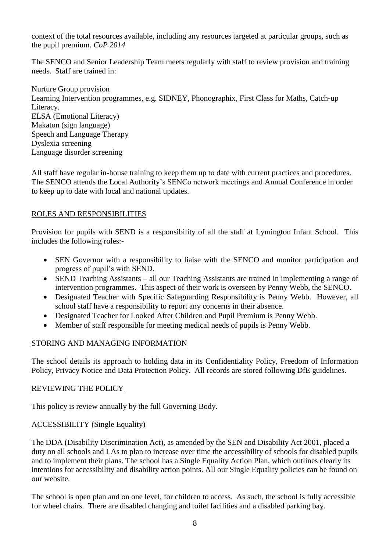context of the total resources available, including any resources targeted at particular groups, such as the pupil premium. *CoP 2014*

The SENCO and Senior Leadership Team meets regularly with staff to review provision and training needs. Staff are trained in:

Nurture Group provision Learning Intervention programmes, e.g. SIDNEY, Phonographix, First Class for Maths, Catch-up Literacy. ELSA (Emotional Literacy) Makaton (sign language) Speech and Language Therapy Dyslexia screening Language disorder screening

All staff have regular in-house training to keep them up to date with current practices and procedures. The SENCO attends the Local Authority's SENCo network meetings and Annual Conference in order to keep up to date with local and national updates.

## ROLES AND RESPONSIBILITIES

Provision for pupils with SEND is a responsibility of all the staff at Lymington Infant School. This includes the following roles:-

- SEN Governor with a responsibility to liaise with the SENCO and monitor participation and progress of pupil's with SEND.
- SEND Teaching Assistants all our Teaching Assistants are trained in implementing a range of intervention programmes. This aspect of their work is overseen by Penny Webb, the SENCO.
- Designated Teacher with Specific Safeguarding Responsibility is Penny Webb. However, all school staff have a responsibility to report any concerns in their absence.
- Designated Teacher for Looked After Children and Pupil Premium is Penny Webb.
- Member of staff responsible for meeting medical needs of pupils is Penny Webb.

## STORING AND MANAGING INFORMATION

The school details its approach to holding data in its Confidentiality Policy, Freedom of Information Policy, Privacy Notice and Data Protection Policy. All records are stored following DfE guidelines.

#### REVIEWING THE POLICY

This policy is review annually by the full Governing Body.

## ACCESSIBILITY (Single Equality)

The DDA (Disability Discrimination Act), as amended by the SEN and Disability Act 2001, placed a duty on all schools and LAs to plan to increase over time the accessibility of schools for disabled pupils and to implement their plans. The school has a Single Equality Action Plan, which outlines clearly its intentions for accessibility and disability action points. All our Single Equality policies can be found on our website.

The school is open plan and on one level, for children to access. As such, the school is fully accessible for wheel chairs. There are disabled changing and toilet facilities and a disabled parking bay.